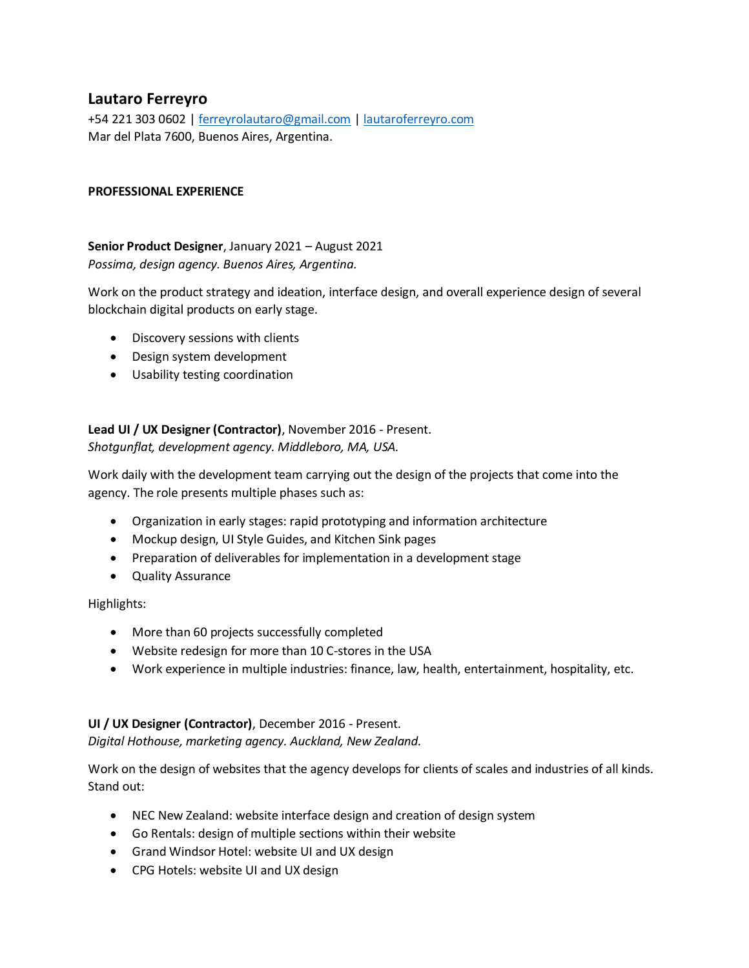# **Lautaro Ferreyro**

+54 221 303 0602 | [ferreyrolautaro@gmail.com](mailto:ferreyrolautaro@gmail.com) | [lautaroferreyro.com](https://lautaroferreyro.com/) Mar del Plata 7600, Buenos Aires, Argentina.

#### **PROFESSIONAL EXPERIENCE**

**Senior Product Designer**, January 2021 – August 2021 *Possima, design agency. Buenos Aires, Argentina.*

Work on the product strategy and ideation, interface design, and overall experience design of several blockchain digital products on early stage.

- Discovery sessions with clients
- Design system development
- Usability testing coordination

## **Lead UI / UX Designer (Contractor)**, November 2016 - Present. *Shotgunflat, development agency. Middleboro, MA, USA.*

Work daily with the development team carrying out the design of the projects that come into the agency. The role presents multiple phases such as:

- Organization in early stages: rapid prototyping and information architecture
- Mockup design, UI Style Guides, and Kitchen Sink pages
- Preparation of deliverables for implementation in a development stage
- Quality Assurance

Highlights:

- More than 60 projects successfully completed
- Website redesign for more than 10 C-stores in the USA
- Work experience in multiple industries: finance, law, health, entertainment, hospitality, etc.

## **UI / UX Designer (Contractor)**, December 2016 - Present.

*Digital Hothouse, marketing agency. Auckland, New Zealand.*

Work on the design of websites that the agency develops for clients of scales and industries of all kinds. Stand out:

- NEC New Zealand: website interface design and creation of design system
- Go Rentals: design of multiple sections within their website
- Grand Windsor Hotel: website UI and UX design
- CPG Hotels: website UI and UX design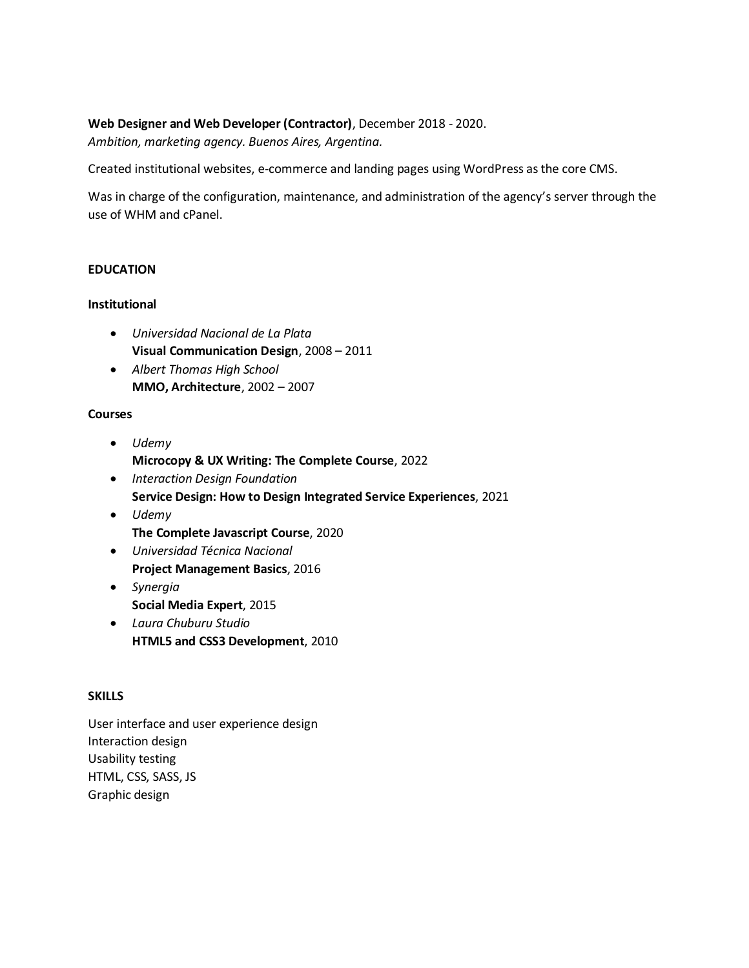#### **Web Designer and Web Developer (Contractor)**, December 2018 - 2020.

*Ambition, marketing agency. Buenos Aires, Argentina.*

Created institutional websites, e-commerce and landing pages using WordPress as the core CMS.

Was in charge of the configuration, maintenance, and administration of the agency's server through the use of WHM and cPanel.

## **EDUCATION**

#### **Institutional**

- *Universidad Nacional de La Plata* **Visual Communication Design**, 2008 – 2011
- *Albert Thomas High School* **MMO, Architecture**, 2002 – 2007

#### **Courses**

- *Udemy* **Microcopy & UX Writing: The Complete Course**, 2022
- *Interaction Design Foundation* **Service Design: How to Design Integrated Service Experiences**, 2021
- *Udemy* **The Complete Javascript Course**, 2020
- *Universidad Técnica Nacional* **Project Management Basics**, 2016
- *Synergia* **Social Media Expert**, 2015
- *Laura Chuburu Studio* **HTML5 and CSS3 Development**, 2010

#### **SKILLS**

User interface and user experience design Interaction design Usability testing HTML, CSS, SASS, JS Graphic design